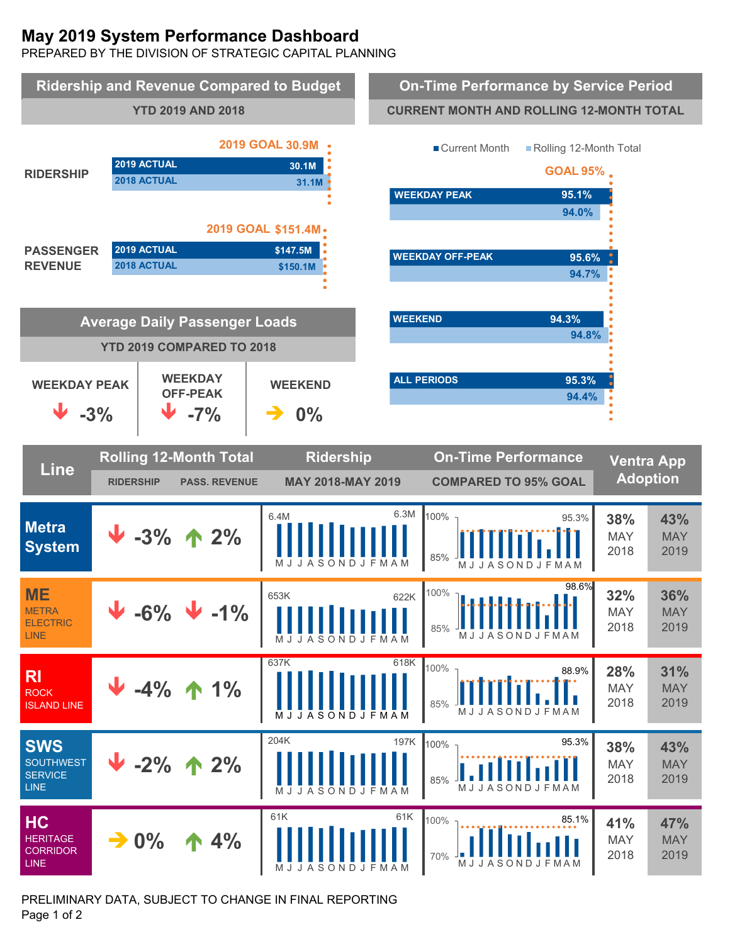# **May 2019 System Performance Dashboard**

PREPARED BY THE DIVISION OF STRATEGIC CAPITAL PLANNING



PRELIMINARY DATA, SUBJECT TO CHANGE IN FINAL REPORTING Page 1 of 2